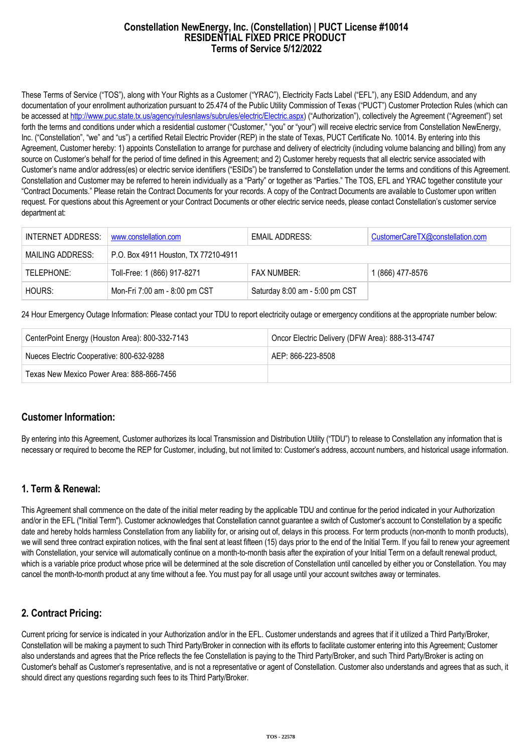### **Constellation NewEnergy, Inc. (Constellation) | PUCT License #10014 RESIDENTIAL FIXED PRICE PRODUCT Terms of Service 5/12/2022**

These Terms of Service ("TOS"), along with Your Rights as a Customer ("YRAC"), Electricity Facts Label ("EFL"), any ESID Addendum, and any documentation of your enrollment authorization pursuant to 25.474 of the Public Utility Commission of Texas ("PUCT") Customer Protection Rules (which can be accessed at [http://www.puc.state.tx.us/agency/rulesnlaws/subrules/electric/Electric.aspx\)](http://www.puc.state.tx.us/agency/rulesnlaws/subrules/electric/Electric.aspx) ("Authorization"), collectively the Agreement ("Agreement") set forth the terms and conditions under which a residential customer ("Customer," "you" or "your") will receive electric service from Constellation NewEnergy, Inc. ("Constellation", "we" and "us") a certified Retail Electric Provider (REP) in the state of Texas, PUCT Certificate No. 10014. By entering into this Agreement, Customer hereby: 1) appoints Constellation to arrange for purchase and delivery of electricity (including volume balancing and billing) from any source on Customer's behalf for the period of time defined in this Agreement; and 2) Customer hereby requests that all electric service associated with Customer's name and/or address(es) or electric service identifiers ("ESIDs") be transferred to Constellation under the terms and conditions of this Agreement. Constellation and Customer may be referred to herein individually as a "Party" or together as "Parties." The TOS, EFL and YRAC together constitute your "Contract Documents." Please retain the Contract Documents for your records. A copy of the Contract Documents are available to Customer upon written request. For questions about this Agreement or your Contract Documents or other electric service needs, please contact Constellation's customer service department at:

| INTERNET ADDRESS: | www.constellation.com                | EMAIL ADDRESS:                 | CustomerCareTX@constellation.com |
|-------------------|--------------------------------------|--------------------------------|----------------------------------|
| MAILING ADDRESS:  | P.O. Box 4911 Houston, TX 77210-4911 |                                |                                  |
| TELEPHONE:        | Toll-Free: 1 (866) 917-8271          | <b>FAX NUMBER:</b>             | 1 (866) 477-8576                 |
| HOURS:            | Mon-Fri 7:00 am - 8:00 pm CST        | Saturday 8:00 am - 5:00 pm CST |                                  |

24 Hour Emergency Outage Information: Please contact your TDU to report electricity outage or emergency conditions at the appropriate number below:

| CenterPoint Energy (Houston Area): 800-332-7143 | Oncor Electric Delivery (DFW Area): 888-313-4747 |  |
|-------------------------------------------------|--------------------------------------------------|--|
| Nueces Electric Cooperative: 800-632-9288       | AEP: 866-223-8508                                |  |
| Texas New Mexico Power Area: 888-866-7456       |                                                  |  |

## **Customer Information:**

By entering into this Agreement, Customer authorizes its local Transmission and Distribution Utility ("TDU") to release to Constellation any information that is necessary or required to become the REP for Customer, including, but not limited to: Customer's address, account numbers, and historical usage information.

## **1. Term & Renewal:**

This Agreement shall commence on the date of the initial meter reading by the applicable TDU and continue for the period indicated in your Authorization and/or in the EFL ("Initial Term"). Customer acknowledges that Constellation cannot guarantee a switch of Customer's account to Constellation by a specific date and hereby holds harmless Constellation from any liability for, or arising out of, delays in this process. For term products (non-month to month products), we will send three contract expiration notices, with the final sent at least fifteen (15) days prior to the end of the Initial Term. If you fail to renew your agreement with Constellation, your service will automatically continue on a month-to-month basis after the expiration of your Initial Term on a default renewal product, which is a variable price product whose price will be determined at the sole discretion of Constellation until cancelled by either you or Constellation. You may cancel the month-to-month product at any time without a fee. You must pay for all usage until your account switches away or terminates.

# **2. Contract Pricing:**

Current pricing for service is indicated in your Authorization and/or in the EFL. Customer understands and agrees that if it utilized a Third Party/Broker, Constellation will be making a payment to such Third Party/Broker in connection with its efforts to facilitate customer entering into this Agreement; Customer also understands and agrees that the Price reflects the fee Constellation is paying to the Third Party/Broker, and such Third Party/Broker is acting on Customer's behalf as Customer's representative, and is not a representative or agent of Constellation. Customer also understands and agrees that as such, it should direct any questions regarding such fees to its Third Party/Broker.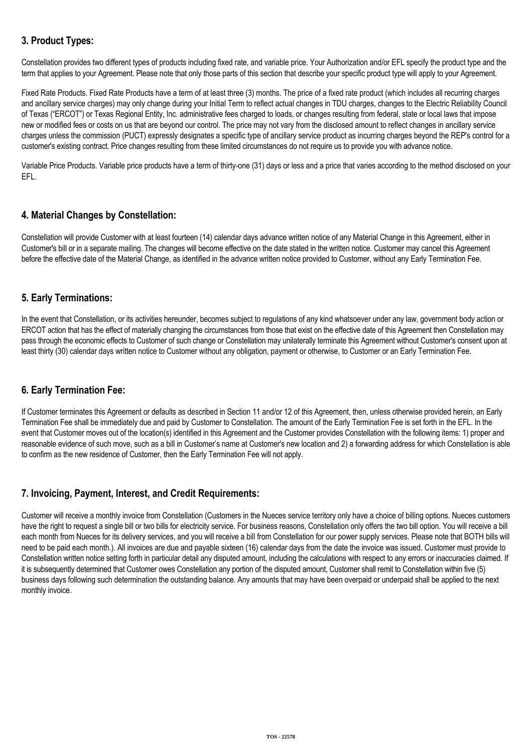# **3. Product Types:**

Constellation provides two different types of products including fixed rate, and variable price. Your Authorization and/or EFL specify the product type and the term that applies to your Agreement. Please note that only those parts of this section that describe your specific product type will apply to your Agreement.

Fixed Rate Products. Fixed Rate Products have a term of at least three (3) months. The price of a fixed rate product (which includes all recurring charges and ancillary service charges) may only change during your Initial Term to reflect actual changes in TDU charges, changes to the Electric Reliability Council of Texas ("ERCOT") or Texas Regional Entity, Inc. administrative fees charged to loads, or changes resulting from federal, state or local laws that impose new or modified fees or costs on us that are beyond our control. The price may not vary from the disclosed amount to reflect changes in ancillary service charges unless the commission (PUCT) expressly designates a specific type of ancillary service product as incurring charges beyond the REP's control for a customer's existing contract. Price changes resulting from these limited circumstances do not require us to provide you with advance notice.

Variable Price Products. Variable price products have a term of thirty-one (31) days or less and a price that varies according to the method disclosed on your EFL.

# **4. Material Changes by Constellation:**

Constellation will provide Customer with at least fourteen (14) calendar days advance written notice of any Material Change in this Agreement, either in Customer's bill or in a separate mailing. The changes will become effective on the date stated in the written notice. Customer may cancel this Agreement before the effective date of the Material Change, as identified in the advance written notice provided to Customer, without any Early Termination Fee.

# **5. Early Terminations:**

In the event that Constellation, or its activities hereunder, becomes subject to regulations of any kind whatsoever under any law, government body action or ERCOT action that has the effect of materially changing the circumstances from those that exist on the effective date of this Agreement then Constellation may pass through the economic effects to Customer of such change or Constellation may unilaterally terminate this Agreement without Customer's consent upon at least thirty (30) calendar days written notice to Customer without any obligation, payment or otherwise, to Customer or an Early Termination Fee.

## **6. Early Termination Fee:**

If Customer terminates this Agreement or defaults as described in Section 11 and/or 12 of this Agreement, then, unless otherwise provided herein, an Early Termination Fee shall be immediately due and paid by Customer to Constellation. The amount of the Early Termination Fee is set forth in the EFL. In the event that Customer moves out of the location(s) identified in this Agreement and the Customer provides Constellation with the following items: 1) proper and reasonable evidence of such move, such as a bill in Customer's name at Customer's new location and 2) a forwarding address for which Constellation is able to confirm as the new residence of Customer, then the Early Termination Fee will not apply.

## **7. Invoicing, Payment, Interest, and Credit Requirements:**

Customer will receive a monthly invoice from Constellation (Customers in the Nueces service territory only have a choice of billing options. Nueces customers have the right to request a single bill or two bills for electricity service. For business reasons, Constellation only offers the two bill option. You will receive a bill each month from Nueces for its delivery services, and you will receive a bill from Constellation for our power supply services. Please note that BOTH bills will need to be paid each month.). All invoices are due and payable sixteen (16) calendar days from the date the invoice was issued. Customer must provide to Constellation written notice setting forth in particular detail any disputed amount, including the calculations with respect to any errors or inaccuracies claimed. If it is subsequently determined that Customer owes Constellation any portion of the disputed amount, Customer shall remit to Constellation within five (5) business days following such determination the outstanding balance. Any amounts that may have been overpaid or underpaid shall be applied to the next monthly invoice.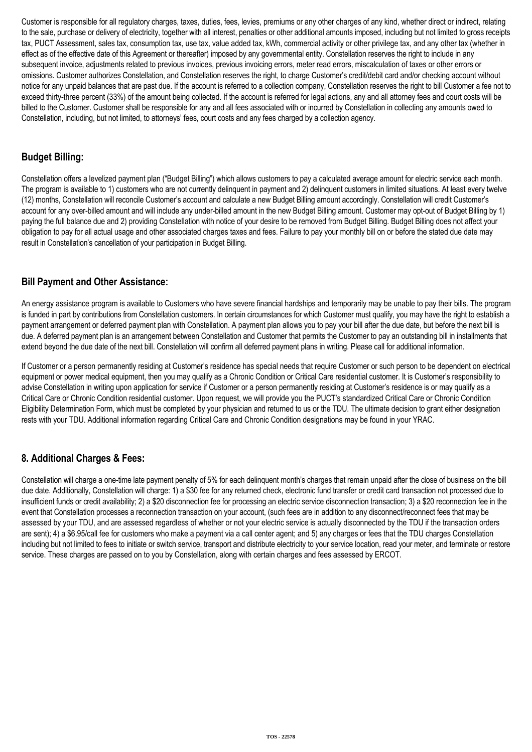Customer is responsible for all regulatory charges, taxes, duties, fees, levies, premiums or any other charges of any kind, whether direct or indirect, relating to the sale, purchase or delivery of electricity, together with all interest, penalties or other additional amounts imposed, including but not limited to gross receipts tax, PUCT Assessment, sales tax, consumption tax, use tax, value added tax, kWh, commercial activity or other privilege tax, and any other tax (whether in effect as of the effective date of this Agreement or thereafter) imposed by any governmental entity. Constellation reserves the right to include in any subsequent invoice, adjustments related to previous invoices, previous invoicing errors, meter read errors, miscalculation of taxes or other errors or omissions. Customer authorizes Constellation, and Constellation reserves the right, to charge Customer's credit/debit card and/or checking account without notice for any unpaid balances that are past due. If the account is referred to a collection company, Constellation reserves the right to bill Customer a fee not to exceed thirty-three percent (33%) of the amount being collected. If the account is referred for legal actions, any and all attorney fees and court costs will be billed to the Customer. Customer shall be responsible for any and all fees associated with or incurred by Constellation in collecting any amounts owed to Constellation, including, but not limited, to attorneys' fees, court costs and any fees charged by a collection agency.

# **Budget Billing:**

Constellation offers a levelized payment plan ("Budget Billing") which allows customers to pay a calculated average amount for electric service each month. The program is available to 1) customers who are not currently delinquent in payment and 2) delinquent customers in limited situations. At least every twelve (12) months, Constellation will reconcile Customer's account and calculate a new Budget Billing amount accordingly. Constellation will credit Customer's account for any over-billed amount and will include any under-billed amount in the new Budget Billing amount. Customer may opt-out of Budget Billing by 1) paying the full balance due and 2) providing Constellation with notice of your desire to be removed from Budget Billing. Budget Billing does not affect your obligation to pay for all actual usage and other associated charges taxes and fees. Failure to pay your monthly bill on or before the stated due date may result in Constellation's cancellation of your participation in Budget Billing.

# **Bill Payment and Other Assistance:**

An energy assistance program is available to Customers who have severe financial hardships and temporarily may be unable to pay their bills. The program is funded in part by contributions from Constellation customers. In certain circumstances for which Customer must qualify, you may have the right to establish a payment arrangement or deferred payment plan with Constellation. A payment plan allows you to pay your bill after the due date, but before the next bill is due. A deferred payment plan is an arrangement between Constellation and Customer that permits the Customer to pay an outstanding bill in installments that extend beyond the due date of the next bill. Constellation will confirm all deferred payment plans in writing. Please call for additional information.

If Customer or a person permanently residing at Customer's residence has special needs that require Customer or such person to be dependent on electrical equipment or power medical equipment, then you may qualify as a Chronic Condition or Critical Care residential customer. It is Customer's responsibility to advise Constellation in writing upon application for service if Customer or a person permanently residing at Customer's residence is or may qualify as a Critical Care or Chronic Condition residential customer. Upon request, we will provide you the PUCT's standardized Critical Care or Chronic Condition Eligibility Determination Form, which must be completed by your physician and returned to us or the TDU. The ultimate decision to grant either designation rests with your TDU. Additional information regarding Critical Care and Chronic Condition designations may be found in your YRAC.

# **8. Additional Charges & Fees:**

Constellation will charge a one-time late payment penalty of 5% for each delinquent month's charges that remain unpaid after the close of business on the bill due date. Additionally, Constellation will charge: 1) a \$30 fee for any returned check, electronic fund transfer or credit card transaction not processed due to insufficient funds or credit availability; 2) a \$20 disconnection fee for processing an electric service disconnection transaction; 3) a \$20 reconnection fee in the event that Constellation processes a reconnection transaction on your account, (such fees are in addition to any disconnect/reconnect fees that may be assessed by your TDU, and are assessed regardless of whether or not your electric service is actually disconnected by the TDU if the transaction orders are sent); 4) a \$6.95/call fee for customers who make a payment via a call center agent; and 5) any charges or fees that the TDU charges Constellation including but not limited to fees to initiate or switch service, transport and distribute electricity to your service location, read your meter, and terminate or restore service. These charges are passed on to you by Constellation, along with certain charges and fees assessed by ERCOT.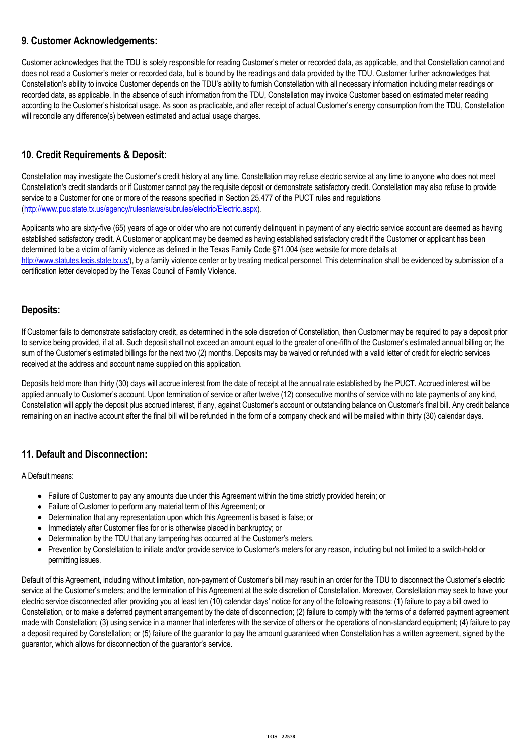# **9. Customer Acknowledgements:**

Customer acknowledges that the TDU is solely responsible for reading Customer's meter or recorded data, as applicable, and that Constellation cannot and does not read a Customer's meter or recorded data, but is bound by the readings and data provided by the TDU. Customer further acknowledges that Constellation's ability to invoice Customer depends on the TDU's ability to furnish Constellation with all necessary information including meter readings or recorded data, as applicable. In the absence of such information from the TDU, Constellation may invoice Customer based on estimated meter reading according to the Customer's historical usage. As soon as practicable, and after receipt of actual Customer's energy consumption from the TDU, Constellation will reconcile any difference(s) between estimated and actual usage charges.

# **10. Credit Requirements & Deposit:**

Constellation may investigate the Customer's credit history at any time. Constellation may refuse electric service at any time to anyone who does not meet Constellation's credit standards or if Customer cannot pay the requisite deposit or demonstrate satisfactory credit. Constellation may also refuse to provide service to a Customer for one or more of the reasons specified in Section 25.477 of the PUCT rules and regulations (<http://www.puc.state.tx.us/agency/rulesnlaws/subrules/electric/Electric.aspx>).

Applicants who are sixty-five (65) years of age or older who are not currently delinquent in payment of any electric service account are deemed as having established satisfactory credit. A Customer or applicant may be deemed as having established satisfactory credit if the Customer or applicant has been determined to be a victim of family violence as defined in the Texas Family Code §71.004 (see website for more details at [http://www.statutes.legis.state.tx.us/\)](http://www.statutes.legis.state.tx.us/), by a family violence center or by treating medical personnel. This determination shall be evidenced by submission of a certification letter developed by the Texas Council of Family Violence.

# **Deposits:**

If Customer fails to demonstrate satisfactory credit, as determined in the sole discretion of Constellation, then Customer may be required to pay a deposit prior to service being provided, if at all. Such deposit shall not exceed an amount equal to the greater of one-fifth of the Customer's estimated annual billing or; the sum of the Customer's estimated billings for the next two (2) months. Deposits may be waived or refunded with a valid letter of credit for electric services received at the address and account name supplied on this application.

Deposits held more than thirty (30) days will accrue interest from the date of receipt at the annual rate established by the PUCT. Accrued interest will be applied annually to Customer's account. Upon termination of service or after twelve (12) consecutive months of service with no late payments of any kind, Constellation will apply the deposit plus accrued interest, if any, against Customer's account or outstanding balance on Customer's final bill. Any credit balance remaining on an inactive account after the final bill will be refunded in the form of a company check and will be mailed within thirty (30) calendar days.

# **11. Default and Disconnection:**

A Default means:

- Failure of Customer to pay any amounts due under this Agreement within the time strictly provided herein; or
- Failure of Customer to perform any material term of this Agreement; or
- Determination that any representation upon which this Agreement is based is false; or
- Immediately after Customer files for or is otherwise placed in bankruptcy; or
- Determination by the TDU that any tampering has occurred at the Customer's meters.
- Prevention by Constellation to initiate and/or provide service to Customer's meters for any reason, including but not limited to a switch-hold or permitting issues.

Default of this Agreement, including without limitation, non-payment of Customer's bill may result in an order for the TDU to disconnect the Customer's electric service at the Customer's meters; and the termination of this Agreement at the sole discretion of Constellation. Moreover, Constellation may seek to have your electric service disconnected after providing you at least ten (10) calendar days' notice for any of the following reasons: (1) failure to pay a bill owed to Constellation, or to make a deferred payment arrangement by the date of disconnection; (2) failure to comply with the terms of a deferred payment agreement made with Constellation; (3) using service in a manner that interferes with the service of others or the operations of non-standard equipment; (4) failure to pay a deposit required by Constellation; or (5) failure of the guarantor to pay the amount guaranteed when Constellation has a written agreement, signed by the guarantor, which allows for disconnection of the guarantor's service.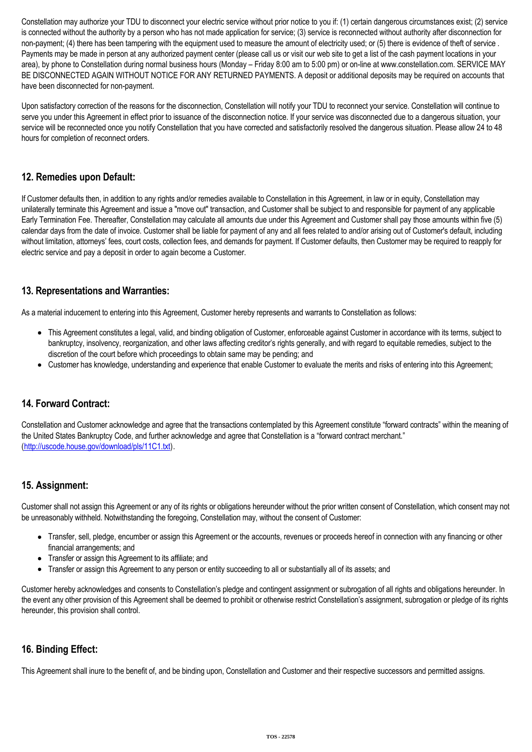Constellation may authorize your TDU to disconnect your electric service without prior notice to you if: (1) certain dangerous circumstances exist; (2) service is connected without the authority by a person who has not made application for service; (3) service is reconnected without authority after disconnection for non-payment; (4) there has been tampering with the equipment used to measure the amount of electricity used; or (5) there is evidence of theft of service. Payments may be made in person at any authorized payment center (please call us or visit our web site to get a list of the cash payment locations in your area), by phone to Constellation during normal business hours (Monday – Friday 8:00 am to 5:00 pm) or on-line at www.constellation.com. SERVICE MAY BE DISCONNECTED AGAIN WITHOUT NOTICE FOR ANY RETURNED PAYMENTS. A deposit or additional deposits may be required on accounts that have been disconnected for non-payment.

Upon satisfactory correction of the reasons for the disconnection, Constellation will notify your TDU to reconnect your service. Constellation will continue to serve you under this Agreement in effect prior to issuance of the disconnection notice. If your service was disconnected due to a dangerous situation, your service will be reconnected once you notify Constellation that you have corrected and satisfactorily resolved the dangerous situation. Please allow 24 to 48 hours for completion of reconnect orders.

# **12. Remedies upon Default:**

If Customer defaults then, in addition to any rights and/or remedies available to Constellation in this Agreement, in law or in equity, Constellation may unilaterally terminate this Agreement and issue a "move out" transaction, and Customer shall be subject to and responsible for payment of any applicable Early Termination Fee. Thereafter, Constellation may calculate all amounts due under this Agreement and Customer shall pay those amounts within five (5) calendar days from the date of invoice. Customer shall be liable for payment of any and all fees related to and/or arising out of Customer's default, including without limitation, attorneys' fees, court costs, collection fees, and demands for payment. If Customer defaults, then Customer may be required to reapply for electric service and pay a deposit in order to again become a Customer.

# **13. Representations and Warranties:**

As a material inducement to entering into this Agreement, Customer hereby represents and warrants to Constellation as follows:

- This Agreement constitutes a legal, valid, and binding obligation of Customer, enforceable against Customer in accordance with its terms, subject to bankruptcy, insolvency, reorganization, and other laws affecting creditor's rights generally, and with regard to equitable remedies, subject to the discretion of the court before which proceedings to obtain same may be pending; and
- Customer has knowledge, understanding and experience that enable Customer to evaluate the merits and risks of entering into this Agreement;

# **14. Forward Contract:**

Constellation and Customer acknowledge and agree that the transactions contemplated by this Agreement constitute "forward contracts" within the meaning of the United States Bankruptcy Code, and further acknowledge and agree that Constellation is a "forward contract merchant." (<http://uscode.house.gov/download/pls/11C1.txt>).

## **15. Assignment:**

Customer shall not assign this Agreement or any of its rights or obligations hereunder without the prior written consent of Constellation, which consent may not be unreasonably withheld. Notwithstanding the foregoing, Constellation may, without the consent of Customer:

- Transfer, sell, pledge, encumber or assign this Agreement or the accounts, revenues or proceeds hereof in connection with any financing or other financial arrangements; and
- Transfer or assign this Agreement to its affiliate; and
- Transfer or assign this Agreement to any person or entity succeeding to all or substantially all of its assets; and

Customer hereby acknowledges and consents to Constellation's pledge and contingent assignment or subrogation of all rights and obligations hereunder. In the event any other provision of this Agreement shall be deemed to prohibit or otherwise restrict Constellation's assignment, subrogation or pledge of its rights hereunder, this provision shall control.

## **16. Binding Effect:**

This Agreement shall inure to the benefit of, and be binding upon, Constellation and Customer and their respective successors and permitted assigns.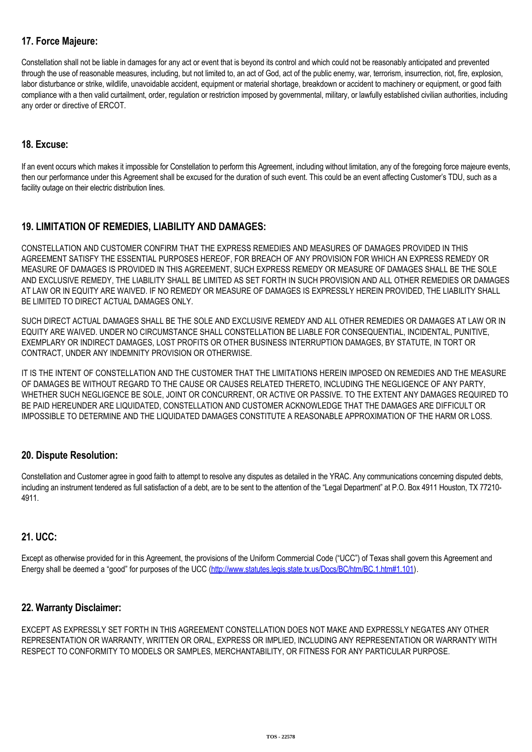# **17. Force Majeure:**

Constellation shall not be liable in damages for any act or event that is beyond its control and which could not be reasonably anticipated and prevented through the use of reasonable measures, including, but not limited to, an act of God, act of the public enemy, war, terrorism, insurrection, riot, fire, explosion, labor disturbance or strike, wildlife, unavoidable accident, equipment or material shortage, breakdown or accident to machinery or equipment, or good faith compliance with a then valid curtailment, order, regulation or restriction imposed by governmental, military, or lawfully established civilian authorities, including any order or directive of ERCOT.

# **18. Excuse:**

If an event occurs which makes it impossible for Constellation to perform this Agreement, including without limitation, any of the foregoing force majeure events, then our performance under this Agreement shall be excused for the duration of such event. This could be an event affecting Customer's TDU, such as a facility outage on their electric distribution lines.

# **19. LIMITATION OF REMEDIES, LIABILITY AND DAMAGES:**

CONSTELLATION AND CUSTOMER CONFIRM THAT THE EXPRESS REMEDIES AND MEASURES OF DAMAGES PROVIDED IN THIS AGREEMENT SATISFY THE ESSENTIAL PURPOSES HEREOF, FOR BREACH OF ANY PROVISION FOR WHICH AN EXPRESS REMEDY OR MEASURE OF DAMAGES IS PROVIDED IN THIS AGREEMENT, SUCH EXPRESS REMEDY OR MEASURE OF DAMAGES SHALL BE THE SOLE AND EXCLUSIVE REMEDY, THE LIABILITY SHALL BE LIMITED AS SET FORTH IN SUCH PROVISION AND ALL OTHER REMEDIES OR DAMAGES AT LAW OR IN EQUITY ARE WAIVED. IF NO REMEDY OR MEASURE OF DAMAGES IS EXPRESSLY HEREIN PROVIDED, THE LIABILITY SHALL BE LIMITED TO DIRECT ACTUAL DAMAGES ONLY.

SUCH DIRECT ACTUAL DAMAGES SHALL BE THE SOLE AND EXCLUSIVE REMEDY AND ALL OTHER REMEDIES OR DAMAGES AT LAW OR IN EQUITY ARE WAIVED. UNDER NO CIRCUMSTANCE SHALL CONSTELLATION BE LIABLE FOR CONSEQUENTIAL, INCIDENTAL, PUNITIVE, EXEMPLARY OR INDIRECT DAMAGES, LOST PROFITS OR OTHER BUSINESS INTERRUPTION DAMAGES, BY STATUTE, IN TORT OR CONTRACT, UNDER ANY INDEMNITY PROVISION OR OTHERWISE.

IT IS THE INTENT OF CONSTELLATION AND THE CUSTOMER THAT THE LIMITATIONS HEREIN IMPOSED ON REMEDIES AND THE MEASURE OF DAMAGES BE WITHOUT REGARD TO THE CAUSE OR CAUSES RELATED THERETO, INCLUDING THE NEGLIGENCE OF ANY PARTY, WHETHER SUCH NEGLIGENCE BE SOLE, JOINT OR CONCURRENT, OR ACTIVE OR PASSIVE. TO THE EXTENT ANY DAMAGES REQUIRED TO BE PAID HEREUNDER ARE LIQUIDATED, CONSTELLATION AND CUSTOMER ACKNOWLEDGE THAT THE DAMAGES ARE DIFFICULT OR IMPOSSIBLE TO DETERMINE AND THE LIQUIDATED DAMAGES CONSTITUTE A REASONABLE APPROXIMATION OF THE HARM OR LOSS.

## **20. Dispute Resolution:**

Constellation and Customer agree in good faith to attempt to resolve any disputes as detailed in the YRAC. Any communications concerning disputed debts, including an instrument tendered as full satisfaction of a debt, are to be sent to the attention of the "Legal Department" at P.O. Box 4911 Houston, TX 77210-4911.

## **21. UCC:**

Except as otherwise provided for in this Agreement, the provisions of the Uniform Commercial Code ("UCC") of Texas shall govern this Agreement and Energy shall be deemed a "good" for purposes of the UCC [\(http://www.statutes.legis.state.tx.us/Docs/BC/htm/BC.1.htm#1.101\)](http://www.statutes.legis.state.tx.us/Docs/BC/htm/BC.1.htm#1.101).

## **22. Warranty Disclaimer:**

EXCEPT AS EXPRESSLY SET FORTH IN THIS AGREEMENT CONSTELLATION DOES NOT MAKE AND EXPRESSLY NEGATES ANY OTHER REPRESENTATION OR WARRANTY, WRITTEN OR ORAL, EXPRESS OR IMPLIED, INCLUDING ANY REPRESENTATION OR WARRANTY WITH RESPECT TO CONFORMITY TO MODELS OR SAMPLES, MERCHANTABILITY, OR FITNESS FOR ANY PARTICULAR PURPOSE.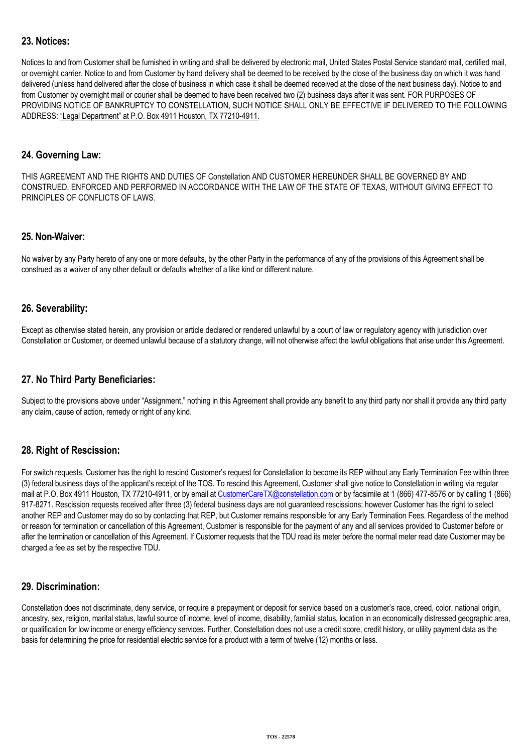# **23. Notices:**

Notices to and from Customer shall be furnished in writing and shall be delivered by electronic mail, United States Postal Service standard mail, certified mail, or overnight carrier. Notice to and from Customer by hand delivery shall be deemed to be received by the close of the business day on which it was hand delivered (unless hand delivered after the close of business in which case it shall be deemed received at the close of the next business day). Notice to and from Customer by overnight mail or courier shall be deemed to have been received two (2) business days after it was sent. FOR PURPOSES OF PROVIDING NOTICE OF BANKRUPTCY TO CONSTELLATION, SUCH NOTICE SHALL ONLY BE EFFECTIVE IF DELIVERED TO THE FOLLOWING ADDRESS: "Legal Department" at P.O. Box 4911 Houston, TX 77210-4911.

### **24. Governing Law:**

THIS AGREEMENT AND THE RIGHTS AND DUTIES OF Constellation AND CUSTOMER HEREUNDER SHALL BE GOVERNED BY AND CONSTRUED, ENFORCED AND PERFORMED IN ACCORDANCE WITH THE LAW OF THE STATE OF TEXAS, WITHOUT GIVING EFFECT TO PRINCIPLES OF CONFLICTS OF LAWS.

### **25. Non-Waiver:**

No waiver by any Party hereto of any one or more defaults, by the other Party in the performance of any of the provisions of this Agreement shall be construed as a waiver of any other default or defaults whether of a like kind or different nature.

### **26. Severability:**

Except as otherwise stated herein, any provision or article declared or rendered unlawful by a court of law or regulatory agency with jurisdiction over Constellation or Customer, or deemed unlawful because of a statutory change, will not otherwise affect the lawful obligations that arise under this Agreement.

## **27. No Third Party Beneficiaries:**

Subject to the provisions above under "Assignment," nothing in this Agreement shall provide any benefit to any third party nor shall it provide any third party any claim, cause of action, remedy or right of any kind.

## **28. Right of Rescission:**

For switch requests, Customer has the right to rescind Customer's request for Constellation to become its REP without any Early Termination Fee within three (3) federal business days of the applicant's receipt of the TOS. To rescind this Agreement, Customer shall give notice to Constellation in writing via regular mail at P.O. Box 4911 Houston, TX 77210-4911, or by email at [CustomerCareTX@constellation.com](mailto:CustomerCareTX@constellation.com) or by facsimile at 1 (866) 477-8576 or by calling 1 (866) 917-8271. Rescission requests received after three (3) federal business days are not guaranteed rescissions; however Customer has the right to select another REP and Customer may do so by contacting that REP, but Customer remains responsible for any Early Termination Fees. Regardless of the method or reason for termination or cancellation of this Agreement, Customer is responsible for the payment of any and all services provided to Customer before or after the termination or cancellation of this Agreement. If Customer requests that the TDU read its meter before the normal meter read date Customer may be charged a fee as set by the respective TDU.

## **29. Discrimination:**

Constellation does not discriminate, deny service, or require a prepayment or deposit for service based on a customer's race, creed, color, national origin, ancestry, sex, religion, marital status, lawful source of income, level of income, disability, familial status, location in an economically distressed geographic area, or qualification for low income or energy efficiency services. Further, Constellation does not use a credit score, credit history, or utility payment data as the basis for determining the price for residential electric service for a product with a term of twelve (12) months or less.